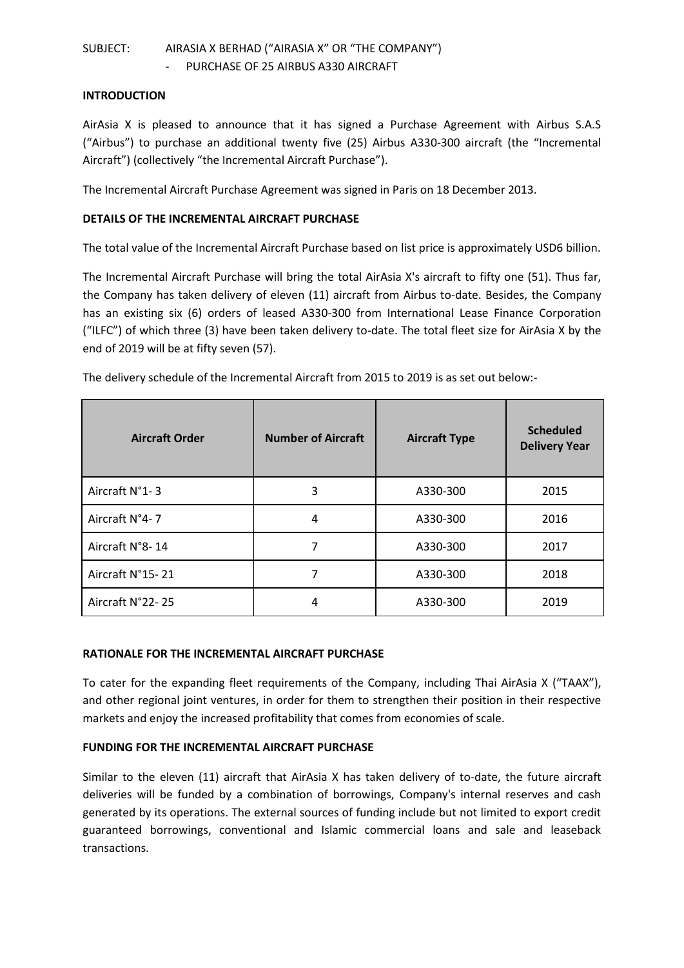# SUBJECT: AIRASIA X BERHAD ("AIRASIA X" OR "THE COMPANY") PURCHASE OF 25 AIRBUS A330 AIRCRAFT

#### **INTRODUCTION**

AirAsia X is pleased to announce that it has signed a Purchase Agreement with Airbus S.A.S ("Airbus") to purchase an additional twenty five (25) Airbus A330-300 aircraft (the "Incremental Aircraft") (collectively "the Incremental Aircraft Purchase").

The Incremental Aircraft Purchase Agreement was signed in Paris on 18 December 2013.

### **DETAILS OF THE INCREMENTAL AIRCRAFT PURCHASE**

The total value of the Incremental Aircraft Purchase based on list price is approximately USD6 billion.

The Incremental Aircraft Purchase will bring the total AirAsia X's aircraft to fifty one (51). Thus far, the Company has taken delivery of eleven (11) aircraft from Airbus to-date. Besides, the Company has an existing six (6) orders of leased A330-300 from International Lease Finance Corporation ("ILFC") of which three (3) have been taken delivery to-date. The total fleet size for AirAsia X by the end of 2019 will be at fifty seven (57).

| <b>Aircraft Order</b> | <b>Number of Aircraft</b> | <b>Aircraft Type</b> | <b>Scheduled</b><br><b>Delivery Year</b> |
|-----------------------|---------------------------|----------------------|------------------------------------------|
| Aircraft N°1-3        | 3                         | A330-300             | 2015                                     |
| Aircraft N°4-7        | 4                         | A330-300             | 2016                                     |
| Aircraft N°8-14       |                           | A330-300             | 2017                                     |
| Aircraft N°15-21      |                           | A330-300             | 2018                                     |
| Aircraft N°22-25      | 4                         | A330-300             | 2019                                     |

The delivery schedule of the Incremental Aircraft from 2015 to 2019 is as set out below:-

## **RATIONALE FOR THE INCREMENTAL AIRCRAFT PURCHASE**

To cater for the expanding fleet requirements of the Company, including Thai AirAsia X ("TAAX"), and other regional joint ventures, in order for them to strengthen their position in their respective markets and enjoy the increased profitability that comes from economies of scale.

#### **FUNDING FOR THE INCREMENTAL AIRCRAFT PURCHASE**

Similar to the eleven (11) aircraft that AirAsia X has taken delivery of to-date, the future aircraft deliveries will be funded by a combination of borrowings, Company's internal reserves and cash generated by its operations. The external sources of funding include but not limited to export credit guaranteed borrowings, conventional and Islamic commercial loans and sale and leaseback transactions.